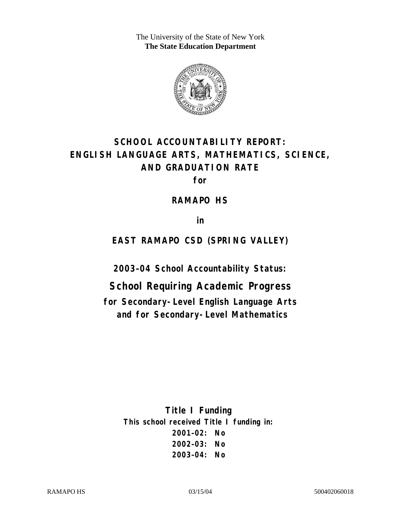The University of the State of New York **The State Education Department** 



# **SCHOOL ACCOUNTABILITY REPORT: ENGLISH LANGUAGE ARTS, MATHEMATICS, SCIENCE, AND GRADUATION RATE**

**for** 

**RAMAPO HS** 

**in** 

**EAST RAMAPO CSD (SPRING VALLEY)** 

**2003–04 School Accountability Status:** 

**School Requiring Academic Progress for Secondary-Level English Language Arts and for Secondary-Level Mathematics**

> **Title I Funding This school received Title I funding in: 2001–02: No 2002–03: No 2003–04: No**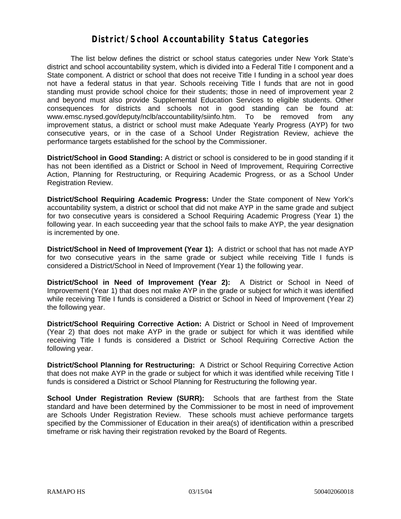#### **District/School Accountability Status Categories**

The list below defines the district or school status categories under New York State's district and school accountability system, which is divided into a Federal Title I component and a State component. A district or school that does not receive Title I funding in a school year does not have a federal status in that year. Schools receiving Title I funds that are not in good standing must provide school choice for their students; those in need of improvement year 2 and beyond must also provide Supplemental Education Services to eligible students. Other consequences for districts and schools not in good standing can be found at: www.emsc.nysed.gov/deputy/nclb/accountability/siinfo.htm. To be removed from any improvement status, a district or school must make Adequate Yearly Progress (AYP) for two consecutive years, or in the case of a School Under Registration Review, achieve the performance targets established for the school by the Commissioner.

**District/School in Good Standing:** A district or school is considered to be in good standing if it has not been identified as a District or School in Need of Improvement, Requiring Corrective Action, Planning for Restructuring, or Requiring Academic Progress, or as a School Under Registration Review.

**District/School Requiring Academic Progress:** Under the State component of New York's accountability system, a district or school that did not make AYP in the same grade and subject for two consecutive years is considered a School Requiring Academic Progress (Year 1) the following year. In each succeeding year that the school fails to make AYP, the year designation is incremented by one.

**District/School in Need of Improvement (Year 1):** A district or school that has not made AYP for two consecutive years in the same grade or subject while receiving Title I funds is considered a District/School in Need of Improvement (Year 1) the following year.

**District/School in Need of Improvement (Year 2):** A District or School in Need of Improvement (Year 1) that does not make AYP in the grade or subject for which it was identified while receiving Title I funds is considered a District or School in Need of Improvement (Year 2) the following year.

**District/School Requiring Corrective Action:** A District or School in Need of Improvement (Year 2) that does not make AYP in the grade or subject for which it was identified while receiving Title I funds is considered a District or School Requiring Corrective Action the following year.

**District/School Planning for Restructuring:** A District or School Requiring Corrective Action that does not make AYP in the grade or subject for which it was identified while receiving Title I funds is considered a District or School Planning for Restructuring the following year.

**School Under Registration Review (SURR):** Schools that are farthest from the State standard and have been determined by the Commissioner to be most in need of improvement are Schools Under Registration Review. These schools must achieve performance targets specified by the Commissioner of Education in their area(s) of identification within a prescribed timeframe or risk having their registration revoked by the Board of Regents.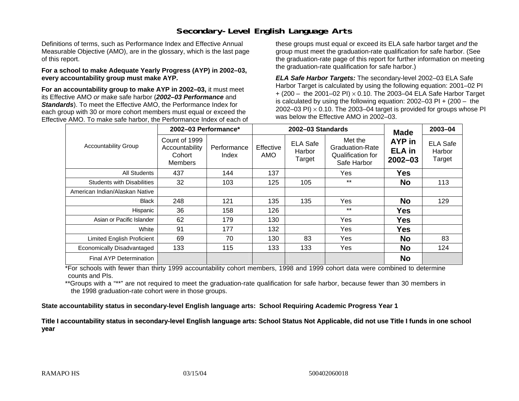## **Secondary-Level English Language Arts**

Definitions of terms, such as Performance Index and Effective Annual Measurable Objective (AMO), are in the glossary, which is the last page of this report.

#### **For a school to make Adequate Yearly Progress (AYP) in 2002–03, every accountability group must make AYP.**

**For an accountability group to make AYP in 2002–03,** it must meet its Effective AMO *or* make safe harbor (*2002–03 Performance* and *Standards*). To meet the Effective AMO, the Performance Index for each group with 30 or more cohort members must equal or exceed the Effective AMO. To make safe harbor, the Performance Index of each of these groups must equal or exceed its ELA safe harbor target *and* the group must meet the graduation-rate qualification for safe harbor. (See the graduation-rate page of this report for further information on meeting the graduation-rate qualification for safe harbor.)

*ELA Safe Harbor Targets:* The secondary-level 2002–03 ELA Safe Harbor Target is calculated by using the following equation: 2001–02 PI + (200 – the 2001–02 PI) <sup>×</sup> 0.10. The 2003–04 ELA Safe Harbor Target is calculated by using the following equation: 2002–03 PI + (200 – the 2002–03 PI)  $\times$  0.10. The 2003–04 target is provided for groups whose PI was below the Effective AMO in 2002–03.

| <b>Accountability Group</b>       | 2002-03 Performance*                                        |                      |                  | 2002-03 Standards                   | <b>Made</b>                                                           | $2003 - 04$                            |                                     |
|-----------------------------------|-------------------------------------------------------------|----------------------|------------------|-------------------------------------|-----------------------------------------------------------------------|----------------------------------------|-------------------------------------|
|                                   | Count of 1999<br>Accountability<br>Cohort<br><b>Members</b> | Performance<br>Index | Effective<br>AMO | <b>ELA Safe</b><br>Harbor<br>Target | Met the<br><b>Graduation-Rate</b><br>Qualification for<br>Safe Harbor | AYP in<br><b>ELA</b> in<br>$2002 - 03$ | <b>ELA Safe</b><br>Harbor<br>Target |
| <b>All Students</b>               | 437                                                         | 144                  | 137              |                                     | Yes                                                                   | <b>Yes</b>                             |                                     |
| <b>Students with Disabilities</b> | 32                                                          | 103                  | 125              | 105                                 | $***$                                                                 | <b>No</b>                              | 113                                 |
| American Indian/Alaskan Native    |                                                             |                      |                  |                                     |                                                                       |                                        |                                     |
| <b>Black</b>                      | 248                                                         | 121                  | 135              | 135                                 | <b>Yes</b>                                                            | <b>No</b>                              | 129                                 |
| Hispanic                          | 36                                                          | 158                  | 126              |                                     | $***$                                                                 | <b>Yes</b>                             |                                     |
| Asian or Pacific Islander         | 62                                                          | 179                  | 130              |                                     | Yes                                                                   | <b>Yes</b>                             |                                     |
| White                             | 91                                                          | 177                  | 132              |                                     | Yes                                                                   | <b>Yes</b>                             |                                     |
| <b>Limited English Proficient</b> | 69                                                          | 70                   | 130              | 83                                  | Yes                                                                   | <b>No</b>                              | 83                                  |
| Economically Disadvantaged        | 133                                                         | 115                  | 133              | 133                                 | Yes                                                                   | <b>No</b>                              | 124                                 |
| Final AYP Determination           |                                                             |                      |                  |                                     |                                                                       | <b>No</b>                              |                                     |

\*For schools with fewer than thirty 1999 accountability cohort members, 1998 and 1999 cohort data were combined to determine counts and PIs.

\*\*Groups with a "\*\*" are not required to meet the graduation-rate qualification for safe harbor, because fewer than 30 members in the 1998 graduation-rate cohort were in those groups.

**State accountability status in secondary-level English language arts: School Requiring Academic Progress Year 1** 

Title I accountability status in secondary-level English language arts: School Status Not Applicable, did not use Title I funds in one school **y ear**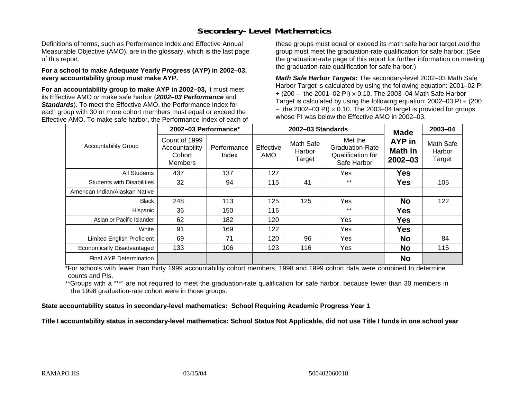### **Secondary-Level Mathematics**

Definitions of terms, such as Performance Index and Effective Annual Measurable Objective (AMO), are in the glossary, which is the last page of this report.

#### **For a school to make Adequate Yearly Progress (AYP) in 2002–03, every accountability group must make AYP.**

**For an accountability group to make AYP in 2002–03,** it must meet its Effective AMO *or* make safe harbor (*2002–03 Performance* and *Standards*). To meet the Effective AMO, the Performance Index for each group with 30 or more cohort members must equal or exceed the Effective AMO. To make safe harbor, the Performance Index of each of these groups must equal or exceed its math safe harbor target *and* the group must meet the graduation-rate qualification for safe harbor. (See the graduation-rate page of this report for further information on meeting the graduation-rate qualification for safe harbor.)

*Math Safe Harbor Targets:* The secondary-level 2002–03 Math Safe Harbor Target is calculated by using the following equation: 2001–02 PI + (200 – the 2001–02 PI) × 0.10. The 2003–04 Math Safe Harbor Target is calculated by using the following equation: 2002–03 PI + (200  $-$  the 2002–03 PI)  $\times$  0.10. The 2003–04 target is provided for groups whose PI was below the Effective AMO in 2002–03.

|                                   | 2002-03 Performance*                                        |                      |                  | 2002-03 Standards             | <b>Made</b>                                                           | 2003-04                          |                               |
|-----------------------------------|-------------------------------------------------------------|----------------------|------------------|-------------------------------|-----------------------------------------------------------------------|----------------------------------|-------------------------------|
| <b>Accountability Group</b>       | Count of 1999<br>Accountability<br>Cohort<br><b>Members</b> | Performance<br>Index | Effective<br>AMO | Math Safe<br>Harbor<br>Target | Met the<br><b>Graduation-Rate</b><br>Qualification for<br>Safe Harbor | AYP in<br>Math in<br>$2002 - 03$ | Math Safe<br>Harbor<br>Target |
| <b>All Students</b>               | 437                                                         | 137                  | 127              |                               | Yes                                                                   | <b>Yes</b>                       |                               |
| <b>Students with Disabilities</b> | 32                                                          | 94                   | 115              | 41                            | $***$                                                                 | <b>Yes</b>                       | 105                           |
| American Indian/Alaskan Native    |                                                             |                      |                  |                               |                                                                       |                                  |                               |
| <b>Black</b>                      | 248                                                         | 113                  | 125              | 125                           | Yes                                                                   | <b>No</b>                        | 122                           |
| Hispanic                          | 36                                                          | 150                  | 116              |                               | $***$                                                                 | <b>Yes</b>                       |                               |
| Asian or Pacific Islander         | 62                                                          | 182                  | 120              |                               | Yes                                                                   | <b>Yes</b>                       |                               |
| White                             | 91                                                          | 169                  | 122              |                               | Yes                                                                   | <b>Yes</b>                       |                               |
| Limited English Proficient        | 69                                                          | 71                   | 120              | 96                            | Yes                                                                   | <b>No</b>                        | 84                            |
| Economically Disadvantaged        | 133                                                         | 106                  | 123              | 116                           | Yes                                                                   | <b>No</b>                        | 115                           |
| <b>Final AYP Determination</b>    |                                                             |                      |                  |                               |                                                                       | <b>No</b>                        |                               |

\*For schools with fewer than thirty 1999 accountability cohort members, 1998 and 1999 cohort data were combined to determine counts and PIs.

\*\*Groups with a "\*\*" are not required to meet the graduation-rate qualification for safe harbor, because fewer than 30 members in the 1998 graduation-rate cohort were in those groups.

**State accountability status in secondary-level mathematics: School Requiring Academic Progress Year 1** 

Title I accountability status in secondary-level mathematics: School Status Not Applicable, did not use Title I funds in one school year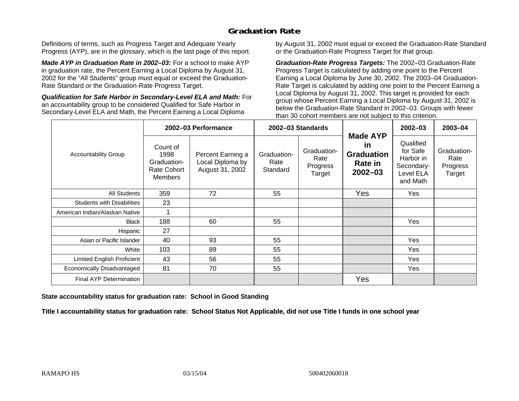## **Graduation Rate**

Definitions of terms, such as Progress Target and Adequate Yearly Progress (AYP), are in the glossary, which is the last page of this report.

*Made AYP in Graduation Rate in 2002–03:* For a school to make AYP in graduation rate, the Percent Earning a Local Diploma by August 31, 2002 for the "All Students" group must equal or exceed the Graduation-Rate Standard or the Graduation-Rate Progress Target.

*Qualification for Safe Harbor in Secondary-Level ELA and Math:* For an accountability group to be considered Qualified for Safe Harbor in Secondary-Level ELA and Math, the Percent Earning a Local Diploma

by August 31, 2002 must equal or exceed the Graduation-Rate Standard or the Graduation-Rate Progress Target for that group.

*Graduation-Rate Progress Targets:* The 2002–03 Graduation-Rate Progress Target is calculated by adding one point to the Percent Earning a Local Diploma by June 30, 2002. The 2003–04 Graduation-Rate Target is calculated by adding one point to the Percent Earning a Local Diploma by August 31, 2002. This target is provided for each group whose Percent Earning a Local Diploma by August 31, 2002 is below the Graduation-Rate Standard in 2002–03. Groups with fewer than 30 cohort members are not subject to this criterion.

|                                   | 2002-03 Performance                                                     |                                                          | 2002-03 Standards               |                                           |                                                                      | $2002 - 03$                                                               | 2003-04                                   |
|-----------------------------------|-------------------------------------------------------------------------|----------------------------------------------------------|---------------------------------|-------------------------------------------|----------------------------------------------------------------------|---------------------------------------------------------------------------|-------------------------------------------|
| <b>Accountability Group</b>       | Count of<br>1998<br>Graduation-<br><b>Rate Cohort</b><br><b>Members</b> | Percent Earning a<br>Local Diploma by<br>August 31, 2002 | Graduation-<br>Rate<br>Standard | Graduation-<br>Rate<br>Progress<br>Target | <b>Made AYP</b><br>in<br><b>Graduation</b><br>Rate in<br>$2002 - 03$ | Qualified<br>for Safe<br>Harbor in<br>Secondary-<br>Level ELA<br>and Math | Graduation-<br>Rate<br>Progress<br>Target |
| All Students                      | 359                                                                     | 72                                                       | 55                              |                                           | Yes                                                                  | Yes                                                                       |                                           |
| <b>Students with Disabilities</b> | 23                                                                      |                                                          |                                 |                                           |                                                                      |                                                                           |                                           |
| American Indian/Alaskan Native    |                                                                         |                                                          |                                 |                                           |                                                                      |                                                                           |                                           |
| <b>Black</b>                      | 188                                                                     | 60                                                       | 55                              |                                           |                                                                      | Yes                                                                       |                                           |
| Hispanic                          | 27                                                                      |                                                          |                                 |                                           |                                                                      |                                                                           |                                           |
| Asian or Pacific Islander         | 40                                                                      | 93                                                       | 55                              |                                           |                                                                      | Yes                                                                       |                                           |
| White                             | 103                                                                     | 89                                                       | 55                              |                                           |                                                                      | Yes                                                                       |                                           |
| Limited English Proficient        | 43                                                                      | 56                                                       | 55                              |                                           |                                                                      | Yes                                                                       |                                           |
| Economically Disadvantaged        | 81                                                                      | 70                                                       | 55                              |                                           |                                                                      | Yes                                                                       |                                           |
| <b>Final AYP Determination</b>    |                                                                         |                                                          |                                 |                                           | Yes                                                                  |                                                                           |                                           |

**State accountability status for graduation rate: School in Good Standing** 

Title I accountability status for graduation rate: School Status Not Applicable, did not use Title I funds in one school year